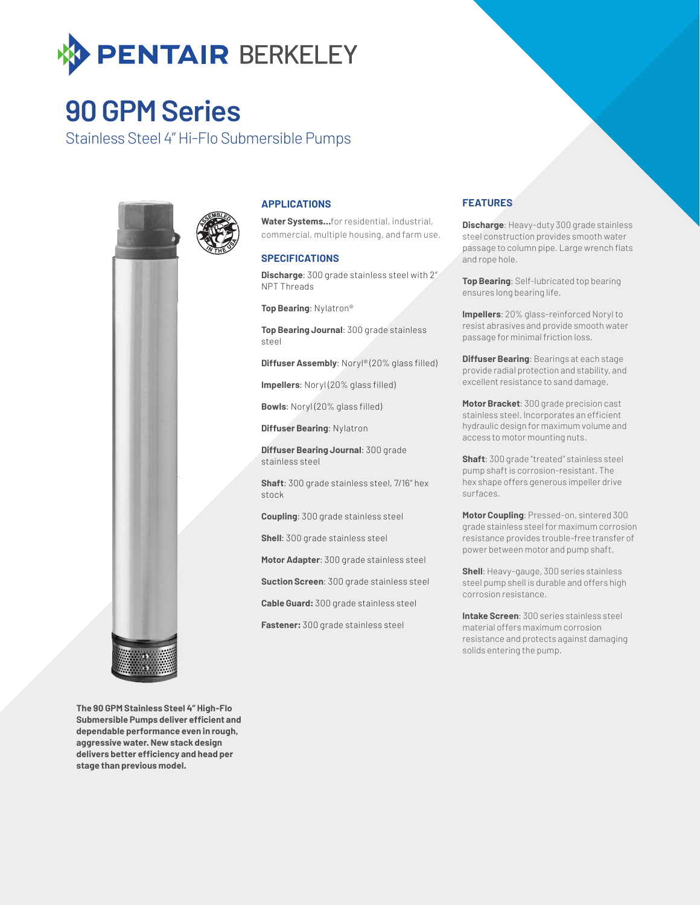

# **90 GPM Series**

Stainless Steel 4" Hi-Flo Submersible Pumps



### **APPLICATIONS**

**Water Systems…**for residential, industrial, commercial, multiple housing, and farm use.

#### **SPECIFICATIONS**

**Discharge**: 300 grade stainless steel with 2" NPT Threads

**Top Bearing**: Nylatron®

**Top Bearing Journal**: 300 grade stainless steel

**Diffuser Assembly**: Noryl® (20% glass filled)

**Impellers**: Noryl (20% glass filled)

**Bowls**: Noryl (20% glass filled)

**Diffuser Bearing**: Nylatron

**Diffuser Bearing Journal**: 300 grade stainless steel

**Shaft**: 300 grade stainless steel, 7/16" hex stock

**Coupling**: 300 grade stainless steel

**Shell**: 300 grade stainless steel

**Motor Adapter**: 300 grade stainless steel

**Suction Screen**: 300 grade stainless steel

**Cable Guard:** 300 grade stainless steel

**Fastener:** 300 grade stainless steel

### **FEATURES**

**Discharge**: Heavy-duty 300 grade stainless steel construction provides smooth water passage to column pipe. Large wrench flats and rope hole.

**Top Bearing**: Self-lubricated top bearing ensures long bearing life.

**Impellers**: 20% glass-reinforced Noryl to resist abrasives and provide smooth water passage for minimal friction loss.

**Diffuser Bearing**: Bearings at each stage provide radial protection and stability, and excellent resistance to sand damage.

**Motor Bracket**: 300 grade precision cast stainless steel. Incorporates an efficient hydraulic design for maximum volume and access to motor mounting nuts.

**Shaft**: 300 grade "treated" stainless steel pump shaft is corrosion-resistant. The hex shape offers generous impeller drive surfaces.

**Motor Coupling**: Pressed-on, sintered 300 grade stainless steel for maximum corrosion resistance provides trouble-free transfer of power between motor and pump shaft.

**Shell**: Heavy-gauge, 300 series stainless steel pump shell is durable and offers high corrosion resistance.

**Intake Screen**: 300 series stainless steel material offers maximum corrosion resistance and protects against damaging solids entering the pump.

**The 90 GPM Stainless Steel 4" High-Flo Submersible Pumps deliver efficient and dependable performance even in rough, aggressive water. New stack design delivers better efficiency and head per stage than previous model.**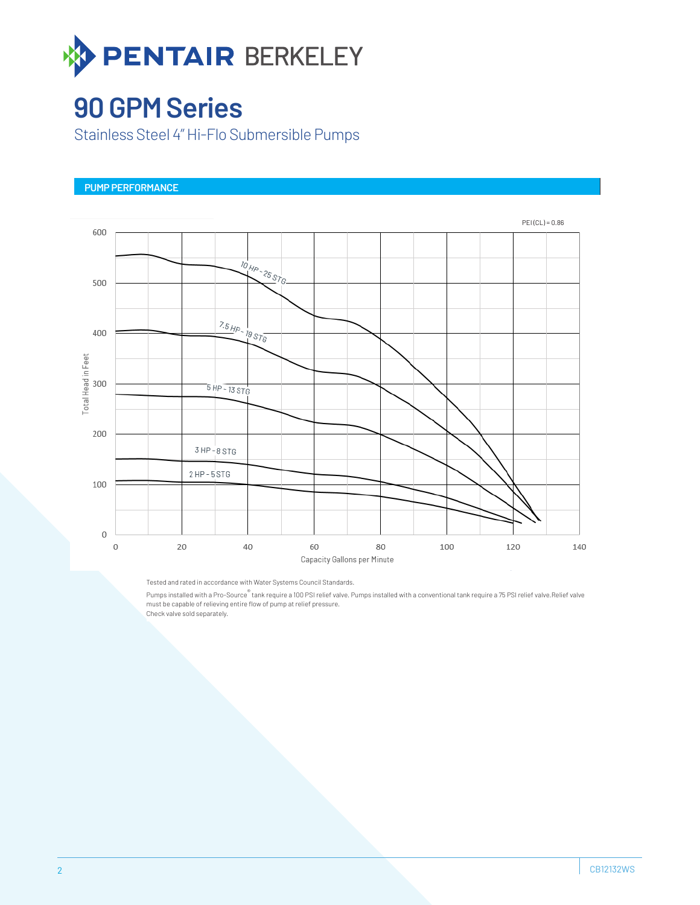

# **90 GPM Series**

Stainless Steel 4" Hi-Flo Submersible Pumps

### **PUMP PERFORMANCE**



Tested and rated in accordance with Water Systems Council Standards.

Pumps installed with a Pro-Source® tank require a 100 PSI relief valve. Pumps installed with a conventional tank require a 75 PSI relief valve.Relief valve must be capable of relieving entire flow of pump at relief pressure. Check valve sold separately.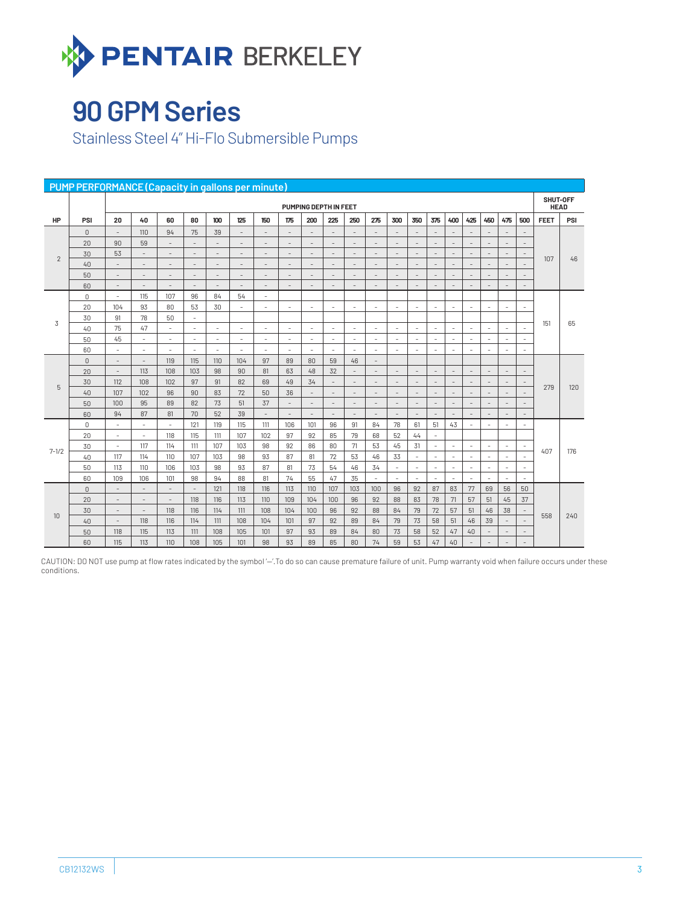

# **90 GPM Series**

Stainless Steel 4" Hi-Flo Submersible Pumps

| <b>PUMP PERFORMANCE (Capacity in gallons per minute)</b> |              |                          |                          |                          |                          |                          |                          |                          |                          |                          |                          |                          |                          |                          |                          |                          |                          |                          |                          |                          |                          |             |     |
|----------------------------------------------------------|--------------|--------------------------|--------------------------|--------------------------|--------------------------|--------------------------|--------------------------|--------------------------|--------------------------|--------------------------|--------------------------|--------------------------|--------------------------|--------------------------|--------------------------|--------------------------|--------------------------|--------------------------|--------------------------|--------------------------|--------------------------|-------------|-----|
|                                                          |              | PUMPING DEPTH IN FEET    |                          |                          |                          |                          |                          |                          |                          |                          |                          |                          |                          |                          |                          | SHUT-OFF<br><b>HEAD</b>  |                          |                          |                          |                          |                          |             |     |
| HP                                                       | PSI          | 20                       | 40                       | 60                       | 80                       | 100                      | 125                      | 150                      | 175                      | 200                      | 225                      | 250                      | 275                      | 300                      | 350                      | 375                      | 400                      | 425                      | 450                      | 475                      | 500                      | <b>FEET</b> | PSI |
| $\overline{2}$                                           | $\mathbb O$  | $\overline{\phantom{a}}$ | 110                      | 94                       | 75                       | 39                       | $\overline{\phantom{a}}$ | $\overline{\phantom{a}}$ | $\overline{\phantom{a}}$ | $\overline{\phantom{a}}$ | $\overline{a}$           | $\overline{a}$           | ۰                        | $\overline{\phantom{a}}$ | $\sim$                   | ٠                        | $\sim$                   |                          | $\overline{a}$           |                          | $\overline{\phantom{a}}$ | 107         | 46  |
|                                                          | 20           | 90                       | 59                       | $\overline{\phantom{a}}$ | $\overline{\phantom{a}}$ | $\overline{\phantom{a}}$ | $\overline{\phantom{a}}$ | $\overline{\phantom{a}}$ | $\overline{\phantom{a}}$ | $\overline{\phantom{a}}$ | $\overline{\phantom{a}}$ | $\overline{\phantom{a}}$ | $\overline{\phantom{a}}$ | $\overline{\phantom{a}}$ | $\overline{\phantom{a}}$ | $\overline{\phantom{a}}$ | $\overline{\phantom{a}}$ | $\overline{\phantom{a}}$ | $\overline{\phantom{a}}$ |                          | $\overline{\phantom{a}}$ |             |     |
|                                                          | 30           | 53                       | $\overline{a}$           | $\overline{a}$           | $\overline{\phantom{a}}$ | $\overline{\phantom{a}}$ |                          | $\overline{\phantom{a}}$ |                          | $\overline{a}$           | $\overline{a}$           |                          |                          |                          | $\overline{\phantom{a}}$ |                          |                          |                          | $\overline{a}$           |                          |                          |             |     |
|                                                          | 40           | $\overline{\phantom{a}}$ | $\overline{\phantom{a}}$ | $\bar{ }$                | $\overline{\phantom{a}}$ | $\overline{\phantom{a}}$ | $\overline{\phantom{a}}$ | $\overline{\phantom{a}}$ | $\overline{\phantom{a}}$ | $\overline{\phantom{a}}$ | $\overline{\phantom{a}}$ | $\overline{\phantom{a}}$ | $\overline{\phantom{a}}$ | $\overline{\phantom{a}}$ | $\overline{\phantom{a}}$ | $\overline{\phantom{a}}$ | $\overline{\phantom{a}}$ | $\overline{\phantom{a}}$ | $\overline{\phantom{a}}$ |                          |                          |             |     |
|                                                          | 50           | $\overline{\phantom{a}}$ | $\overline{\phantom{a}}$ | $\overline{\phantom{a}}$ | $\overline{\phantom{a}}$ | $\overline{\phantom{a}}$ | $\overline{\phantom{a}}$ | $\overline{\phantom{a}}$ | $\sim$                   | $\overline{\phantom{a}}$ | $\overline{\phantom{a}}$ | $\overline{\phantom{a}}$ | $\overline{\phantom{a}}$ | $\overline{\phantom{a}}$ | $\sim$                   | $\overline{\phantom{a}}$ | $\sim$                   | $\overline{\phantom{a}}$ | $\overline{\phantom{a}}$ | $\overline{\phantom{a}}$ | $\overline{\phantom{a}}$ |             |     |
|                                                          | 60           | $\overline{a}$           |                          | ٠                        |                          | ٠                        |                          | $\overline{\phantom{a}}$ |                          |                          |                          |                          |                          |                          |                          |                          |                          |                          |                          |                          |                          |             |     |
| 3                                                        | $\mathbb O$  | $\sim$                   | 115                      | 107                      | 96                       | 84                       | 54                       | $\overline{\phantom{a}}$ |                          |                          |                          |                          |                          |                          |                          |                          |                          |                          |                          |                          |                          | 151         | 65  |
|                                                          | 20           | 104                      | 93                       | 80                       | 53                       | 30                       | ٠                        | $\overline{\phantom{a}}$ | $\sim$                   | ×.                       | ٠                        | $\sim$                   | $\overline{\phantom{a}}$ | $\sim$                   | $\sim$                   | $\overline{\phantom{a}}$ | $\sim$                   | ٠                        | $\overline{\phantom{a}}$ | $\overline{\phantom{a}}$ | $\overline{\phantom{a}}$ |             |     |
|                                                          | 30           | 91                       | 78                       | 50                       | $\overline{\phantom{a}}$ |                          |                          |                          |                          |                          |                          |                          |                          |                          |                          |                          |                          |                          |                          |                          |                          |             |     |
|                                                          | 40           | 75                       | 47                       | $\overline{\phantom{a}}$ | $\overline{\phantom{a}}$ | $\sim$                   | $\sim$                   | $\overline{\phantom{a}}$ | $\overline{\phantom{a}}$ | $\sim$                   | $\overline{\phantom{a}}$ | $\overline{\phantom{a}}$ | $\sim$                   | $\sim$                   | $\sim$                   | $\overline{\phantom{a}}$ | $\sim$                   | $\overline{\phantom{a}}$ | $\sim$                   | $\sim$                   | $\overline{\phantom{a}}$ |             |     |
|                                                          | 50           | 45                       | $\overline{\phantom{a}}$ | $\overline{\phantom{a}}$ | $\overline{\phantom{a}}$ | $\overline{\phantom{a}}$ | ٠                        | $\overline{\phantom{a}}$ | ٠                        | $\sim$                   | ٠                        | ٠                        | ä,                       | $\sim$                   | $\sim$                   | ٠                        | $\sim$                   | ٠                        | ٠                        |                          | $\overline{\phantom{a}}$ |             |     |
|                                                          | 60           | ä,                       | $\overline{\phantom{a}}$ | ä,                       | ٠                        | $\overline{\phantom{a}}$ | $\sim$                   | $\overline{\phantom{a}}$ | ÷,                       | ÷,                       | $\sim$                   | $\overline{\phantom{a}}$ | ÷                        | $\sim$                   | ٠                        | $\overline{a}$           | J.                       | $\sim$                   | ä,                       |                          | ä,                       |             |     |
| 5                                                        | $\mathbf{0}$ | $\overline{\phantom{a}}$ | $\sim$                   | 119                      | 115                      | 110                      | 104                      | 97                       | 89                       | 80                       | 59                       | 46                       | $\overline{\phantom{a}}$ |                          |                          |                          |                          |                          |                          |                          |                          | 279         | 120 |
|                                                          | 20           | $\sim$                   | 113                      | 108                      | 103                      | 98                       | 90                       | 81                       | 63                       | 48                       | 32                       | $\overline{\phantom{a}}$ | $\overline{\phantom{a}}$ | $\overline{\phantom{a}}$ | $\overline{\phantom{a}}$ | L,                       | $\sim$                   | $\overline{\phantom{a}}$ | $\overline{a}$           |                          |                          |             |     |
|                                                          | 30           | 112                      | 108                      | 102                      | 97                       | 91                       | 82                       | 69                       | 49                       | 34                       | $\overline{\phantom{a}}$ | $\overline{\phantom{a}}$ | $\overline{\phantom{a}}$ | $\overline{\phantom{a}}$ | $\overline{\phantom{a}}$ | $\overline{\phantom{a}}$ | $\overline{\phantom{a}}$ | $\overline{\phantom{a}}$ | $\overline{\phantom{a}}$ | $\overline{\phantom{a}}$ | $\overline{\phantom{a}}$ |             |     |
|                                                          | 40           | 107                      | 102                      | 96                       | 90                       | 83                       | 72                       | 50                       | 36                       | $\overline{\phantom{a}}$ | $\sim$                   | $\overline{\phantom{a}}$ | $\overline{\phantom{a}}$ | $\overline{\phantom{a}}$ | $\sim$                   | $\overline{\phantom{a}}$ | $\overline{\phantom{a}}$ | $\overline{\phantom{a}}$ | $\sim$                   |                          | $\overline{\phantom{a}}$ |             |     |
|                                                          | 50           | 100                      | 95                       | 89                       | 82                       | 73                       | 51                       | 37                       | $\overline{\phantom{a}}$ | $\overline{a}$           | $\overline{\phantom{a}}$ | $\overline{\phantom{a}}$ | $\overline{\phantom{a}}$ | $\overline{\phantom{a}}$ | $\overline{\phantom{a}}$ | $\overline{\phantom{a}}$ | $\overline{\phantom{a}}$ | $\overline{\phantom{a}}$ | $\overline{a}$           |                          | $\overline{\phantom{a}}$ |             |     |
|                                                          | 60           | 94                       | 87                       | 81                       | 70                       | 52                       | 39                       | $\overline{\phantom{a}}$ | $\overline{\phantom{a}}$ | $\overline{a}$           | $\overline{\phantom{a}}$ |                          |                          | $\overline{\phantom{a}}$ | $\overline{\phantom{a}}$ |                          | $\overline{\phantom{a}}$ |                          | $\overline{\phantom{a}}$ |                          | $\overline{\phantom{a}}$ |             |     |
| $7 - 1/2$                                                | $\mathbf 0$  | $\overline{\phantom{a}}$ | $\overline{\phantom{a}}$ | $\overline{\phantom{a}}$ | 121                      | 119                      | 115                      | 111                      | 106                      | 101                      | 96                       | 91                       | 84                       | 78                       | 61                       | 51                       | 43                       | $\overline{\phantom{a}}$ | $\overline{\phantom{a}}$ | ۰                        | $\overline{\phantom{a}}$ | 407         | 176 |
|                                                          | 20           | $\sim$                   | $\overline{\phantom{a}}$ | 118                      | 115                      | 111                      | 107                      | 102                      | 97                       | 92                       | 85                       | 79                       | 68                       | 52                       | 44                       | $\overline{\phantom{a}}$ |                          |                          |                          |                          |                          |             |     |
|                                                          | 30           | $\overline{\phantom{a}}$ | 117                      | 114                      | 111                      | 107                      | 103                      | 98                       | 92                       | 86                       | 80                       | 71                       | 53                       | 45                       | 31                       | $\overline{\phantom{a}}$ | $\overline{\phantom{a}}$ | $\overline{\phantom{a}}$ | $\overline{\phantom{a}}$ | $\overline{\phantom{a}}$ | $\overline{\phantom{a}}$ |             |     |
|                                                          | 40           | 117                      | 114                      | 110                      | 107                      | 103                      | 98                       | 93                       | 87                       | 81                       | 72                       | 53                       | 46                       | 33                       | $\sim$                   | $\overline{\phantom{0}}$ | $\sim$                   | $\overline{\phantom{a}}$ | $\overline{\phantom{a}}$ | ٠                        | $\sim$                   |             |     |
|                                                          | 50           | 113                      | 110                      | 106                      | 103                      | 98                       | 93                       | 87                       | 81                       | 73                       | 54                       | 46                       | 34                       | $\overline{\phantom{a}}$ | $\sim$                   | $\overline{\phantom{a}}$ | $\sim$                   | $\sim$                   | $\overline{\phantom{a}}$ | ۰                        | $\overline{\phantom{a}}$ |             |     |
|                                                          | 60           | 109                      | 106                      | 101                      | 98                       | 94                       | 88                       | 81                       | 74                       | 55                       | 47                       | 35                       | $\sim$                   | $\sim$                   | $\sim$                   | ×.                       | ×.                       | ÷.                       | ٠                        |                          | ×.                       |             |     |
| 10                                                       | $\mathbf 0$  | $\overline{\phantom{a}}$ | $\overline{\phantom{a}}$ | $\overline{a}$           | $\overline{\phantom{a}}$ | 121                      | 118                      | 116                      | 113                      | 110                      | 107                      | 103                      | 100                      | 96                       | 92                       | 87                       | 83                       | 77                       | 69                       | 56                       | 50                       | 558         | 240 |
|                                                          | 20           | $\overline{\phantom{a}}$ | $\overline{\phantom{a}}$ | $\overline{\phantom{a}}$ | 118                      | 116                      | 113                      | 110                      | 109                      | 104                      | 100                      | 96                       | 92                       | 88                       | 83                       | 78                       | 71                       | 57                       | 51                       | 45                       | 37                       |             |     |
|                                                          | 30           | $\overline{\phantom{a}}$ | $\overline{\phantom{a}}$ | 118                      | 116                      | 114                      | 111                      | 108                      | 104                      | 100                      | 96                       | 92                       | 88                       | 84                       | 79                       | 72                       | 57                       | 51                       | 46                       | 38                       | $\overline{\phantom{a}}$ |             |     |
|                                                          | 40           | $\overline{\phantom{a}}$ | 118                      | 116                      | 114                      | 111                      | 108                      | 104                      | 101                      | 97                       | 92                       | 89                       | 84                       | 79                       | 73                       | 58                       | 51                       | 46                       | 39                       |                          | $\frac{1}{2}$            |             |     |
|                                                          | 50           | 118                      | 115                      | 113                      | 111                      | 108                      | 105                      | 101                      | 97                       | 93                       | 89                       | 84                       | 80                       | 73                       | 58                       | 52                       | 47                       | 40                       | $\qquad \qquad -$        |                          | $\overline{\phantom{a}}$ |             |     |
|                                                          | 60           | 115                      | 113                      | 110                      | 108                      | 105                      | 101                      | 98                       | 93                       | 89                       | 85                       | 80                       | 74                       | 59                       | 53                       | 47                       | 40                       |                          |                          |                          | ÷                        |             |     |

CAUTION: DO NOT use pump at flow rates indicated by the symbol '-'.To do so can cause premature failure of unit. Pump warranty void when failure occurs under these conditions.